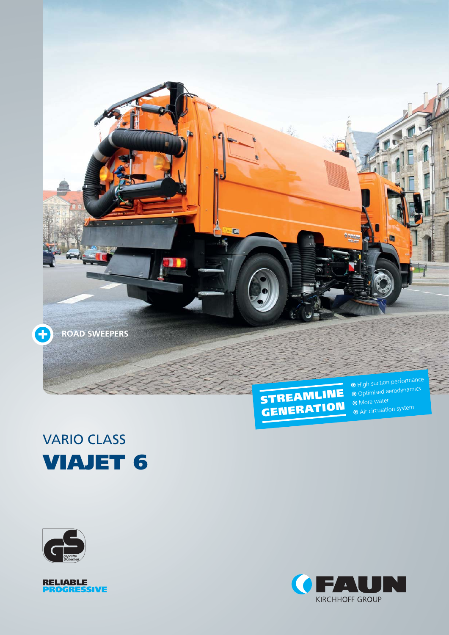





**More** water  $\Theta$  Air circulation system





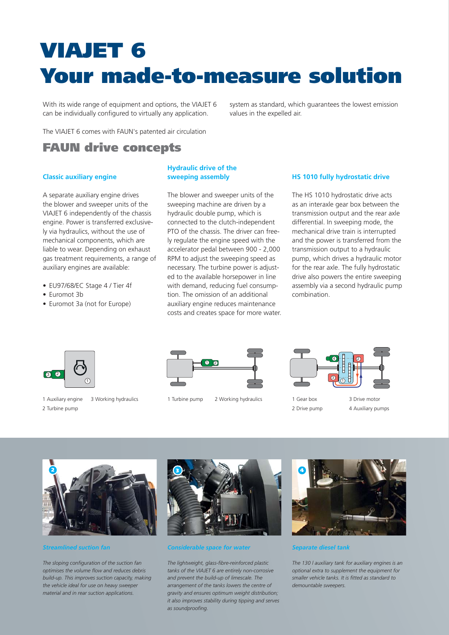# **VIAJET 6 Your made-to-measure solution**

With its wide range of equipment and options, the VIAJET 6 can be individually configured to virtually any application.

system as standard, which guarantees the lowest emission values in the expelled air.

The VIAJET 6 comes with FAUN's patented air circulation

# **FAUN drive concepts**

# **Classic auxiliary engine**

A separate auxiliary engine drives the blower and sweeper units of the VIAJET 6 independently of the chassis engine. Power is transferred exclusively via hydraulics, without the use of mechanical components, which are liable to wear. Depending on exhaust gas treatment requirements, a range of auxiliary engines are available:

- EU97/68/EC Stage 4 / Tier 4f
- Euromot 3b
- Euromot 3a (not for Europe)

# **Hydraulic drive of the sweeping assembly**

The blower and sweeper units of the sweeping machine are driven by a hydraulic double pump, which is connected to the clutch-independent PTO of the chassis. The driver can freely regulate the engine speed with the accelerator pedal between 900 - 2,000 RPM to adjust the sweeping speed as necessary. The turbine power is adjusted to the available horsepower in line with demand, reducing fuel consumption. The omission of an additional auxiliary engine reduces maintenance costs and creates space for more water.

## **HS 1010 fully hydrostatic drive**

The HS 1010 hydrostatic drive acts as an interaxle gear box between the transmission output and the rear axle differential. In sweeping mode, the mechanical drive train is interrupted and the power is transferred from the transmission output to a hydraulic pump, which drives a hydraulic motor for the rear axle. The fully hydrostatic drive also powers the entire sweeping assembly via a second hydraulic pump combination.



1 Auxiliary engine 2 Turbine pump



3 Working hydraulics 1 Turbine pump 2 Working hydraulics



- 1 Gear box 2 Drive pump
- 3 Drive motor 4 Auxiliary pumps



*Streamlined suction fan*

*The sloping configuration of the suction fan optimises the volume flow and reduces debris build-up. This improves suction capacity, making the vehicle ideal for use on heavy sweeper material and in rear suction applications.*



# *Considerable space for water*

*The lightweight, glass-fibre-reinforced plastic tanks of the VIAJET 6 are entirely non-corrosive and prevent the build-up of limescale. The arrangement of the tanks lowers the centre of gravity and ensures optimum weight distribution; it also improves stability during tipping and serves as soundproofing.*



*Separate diesel tank*

*The 130 l auxiliary tank for auxiliary engines is an optional extra to supplement the equipment for smaller vehicle tanks. It is fitted as standard to demountable sweepers.*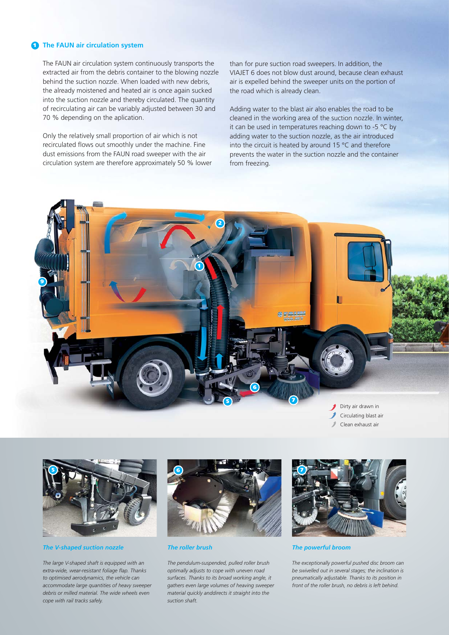#### **1 The FAUN air circulation system**

The FAUN air circulation system continuously transports the extracted air from the debris container to the blowing nozzle behind the suction nozzle. When loaded with new debris, the already moistened and heated air is once again sucked into the suction nozzle and thereby circulated. The quantity of recirculating air can be variably adjusted between 30 and 70 % depending on the aplication.

Only the relatively small proportion of air which is not recirculated flows out smoothly under the machine. Fine dust emissions from the FAUN road sweeper with the air circulation system are therefore approximately 50 % lower than for pure suction road sweepers. In addition, the VIAJET 6 does not blow dust around, because clean exhaust air is expelled behind the sweeper units on the portion of the road which is already clean.

Adding water to the blast air also enables the road to be cleaned in the working area of the suction nozzle. In winter, it can be used in temperatures reaching down to -5 °C by adding water to the suction nozzle, as the air introduced into the circuit is heated by around 15 °C and therefore prevents the water in the suction nozzle and the container from freezing.



Clean exhaust air



*The V-shaped suction nozzle*

*The large V-shaped shaft is equipped with an extra-wide, wear-resistant foliage flap. Thanks to optimised aerodynamics, the vehicle can accommodate large quantities of heavy sweeper debris or milled material. The wide wheels even cope with rail tracks safely.*



*The roller brush*

*The pendulum-suspended, pulled roller brush optimally adjusts to cope with uneven road surfaces. Thanks to its broad working angle, it gathers even large volumes of heaving sweeper material quickly anddirects it straight into the suction shaft.*



*The powerful broom*

*The exceptionally powerful pushed disc broom can be swivelled out in several stages; the inclination is pneumatically adjustable. Thanks to its position in front of the roller brush, no debris is left behind.*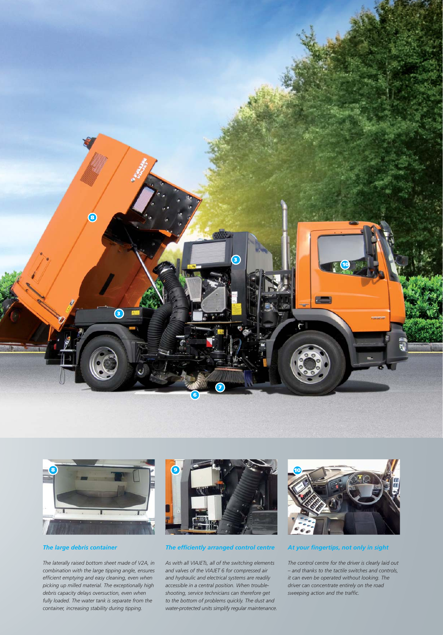



# *The large debris container*

*The laterally raised bottom sheet made of V2A, in combination with the large tipping angle, ensures efficient emptying and easy cleaning, even when picking up milled material. The exceptionally high debris capacity delays oversuction, even when fully loaded. The water tank is separate from the container, increasing stability during tipping.*



## *The efficiently arranged control centre*

*As with all VIAJETs, all of the switching elements and valves of the VIAJET 6 for compressed air and hydraulic and electrical systems are readily accessible in a central position. When troubleshooting, service technicians can therefore get to the bottom of problems quickly. The dust and water-protected units simplify regular maintenance.* 



## *At your fingertips, not only in sight*

*The control centre for the driver is clearly laid out – and thanks to the tactile switches and controls, it can even be operated without looking. The driver can concentrate entirely on the road sweeping action and the traffic.*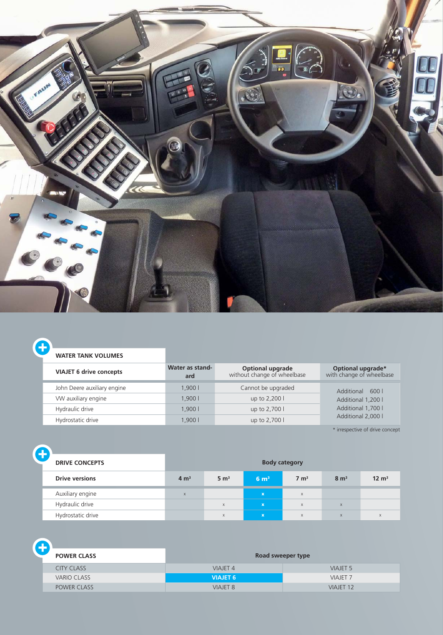

|  |  |  | <b>WATER TANK VOLUMES</b> |
|--|--|--|---------------------------|
|--|--|--|---------------------------|

e

| <b>VIAJET 6 drive concepts</b> | Water as stand-<br>ard | <b>Optional upgrade</b><br>without change of wheelbase | Optional upgrade*<br>with change of wheelbase |  |
|--------------------------------|------------------------|--------------------------------------------------------|-----------------------------------------------|--|
| John Deere auxiliary engine    | 1.9001                 | Cannot be upgraded                                     | Additional 600 l                              |  |
| VW auxiliary engine            | 1.9001                 | up to 2,200 l                                          | Additional 1,200 l                            |  |
| Hydraulic drive                | 1.900 l                | up to 2,700 l                                          | Additional 1,700 l                            |  |
| Hydrostatic drive              | 1.9001                 | up to 2,700 l                                          | Additional 2,000 l                            |  |

\* irrespective of drive concept

| Ť<br><b>DRIVE CONCEPTS</b> |                  |                  |                  | <b>Body category</b> |                 |                  |
|----------------------------|------------------|------------------|------------------|----------------------|-----------------|------------------|
| <b>Drive versions</b>      | 4 m <sup>3</sup> | 5 m <sup>3</sup> | 6 m <sup>3</sup> | $7 \text{ m}^3$      | $8 \text{ m}^3$ | $12 \text{ m}^3$ |
| Auxiliary engine           | $\mathsf{x}$     |                  | $\mathbf x$      | $\mathsf{X}$         |                 |                  |
| Hydraulic drive            |                  | X                | $\mathbf{x}$     | $\mathsf{X}$         | $\mathsf{x}$    |                  |
| Hydrostatic drive          |                  | X                | $\mathbf x$      | $\mathsf{X}$         | $\times$        | X                |

| <b>POWER CLASS</b> | Road sweeper type |                      |  |  |
|--------------------|-------------------|----------------------|--|--|
| <b>CITY CLASS</b>  | <b>VIAJET 4</b>   | <b>VIAJET 5</b>      |  |  |
| <b>VARIO CLASS</b> | <b>VIAJET 6</b>   | <b>VIAJET 7</b>      |  |  |
| <b>POWER CLASS</b> | <b>VIAJET 8</b>   | VIAJET <sub>12</sub> |  |  |